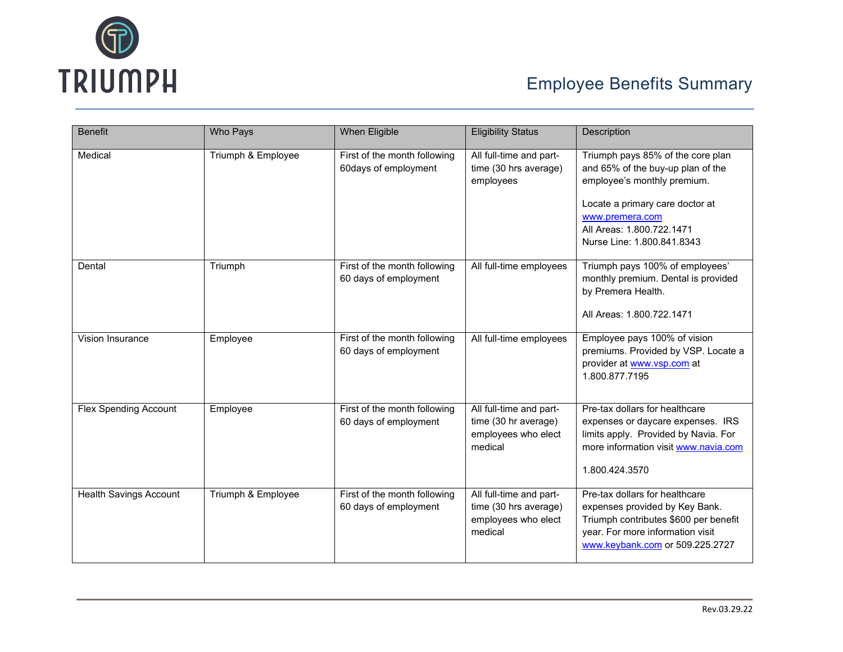

| <b>Benefit</b>                | Who Pays           | <b>When Eligible</b>                                  | <b>Eligibility Status</b>                                                          | Description                                                                                                                                                                                                            |
|-------------------------------|--------------------|-------------------------------------------------------|------------------------------------------------------------------------------------|------------------------------------------------------------------------------------------------------------------------------------------------------------------------------------------------------------------------|
| Medical                       | Triumph & Employee | First of the month following<br>60days of employment  | All full-time and part-<br>time (30 hrs average)<br>employees                      | Triumph pays 85% of the core plan<br>and 65% of the buy-up plan of the<br>employee's monthly premium.<br>Locate a primary care doctor at<br>www.premera.com<br>All Areas: 1.800.722.1471<br>Nurse Line: 1.800.841.8343 |
| Dental                        | Triumph            | First of the month following<br>60 days of employment | All full-time employees                                                            | Triumph pays 100% of employees'<br>monthly premium. Dental is provided<br>by Premera Health.<br>All Areas: 1.800.722.1471                                                                                              |
| Vision Insurance              | Employee           | First of the month following<br>60 days of employment | All full-time employees                                                            | Employee pays 100% of vision<br>premiums. Provided by VSP. Locate a<br>provider at www.vsp.com at<br>1.800.877.7195                                                                                                    |
| <b>Flex Spending Account</b>  | Employee           | First of the month following<br>60 days of employment | All full-time and part-<br>time (30 hr average)<br>employees who elect<br>medical  | Pre-tax dollars for healthcare<br>expenses or daycare expenses. IRS<br>limits apply. Provided by Navia. For<br>more information visit www.navia.com<br>1.800.424.3570                                                  |
| <b>Health Savings Account</b> | Triumph & Employee | First of the month following<br>60 days of employment | All full-time and part-<br>time (30 hrs average)<br>employees who elect<br>medical | Pre-tax dollars for healthcare<br>expenses provided by Key Bank.<br>Triumph contributes \$600 per benefit<br>year. For more information visit<br>www.keybank.com or 509.225.2727                                       |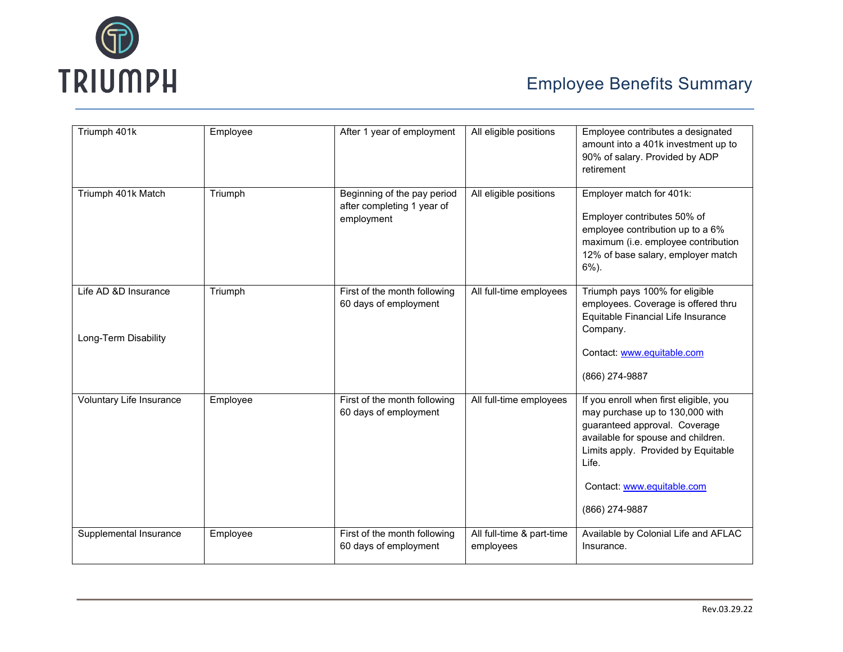

| Triumph 401k             | Employee | After 1 year of employment                                              | All eligible positions                 | Employee contributes a designated<br>amount into a 401k investment up to<br>90% of salary. Provided by ADP<br>retirement                                                                                                                         |
|--------------------------|----------|-------------------------------------------------------------------------|----------------------------------------|--------------------------------------------------------------------------------------------------------------------------------------------------------------------------------------------------------------------------------------------------|
| Triumph 401k Match       | Triumph  | Beginning of the pay period<br>after completing 1 year of<br>employment | All eligible positions                 | Employer match for 401k:<br>Employer contributes 50% of<br>employee contribution up to a 6%<br>maximum (i.e. employee contribution<br>12% of base salary, employer match<br>$6\%$ ).                                                             |
| Life AD &D Insurance     | Triumph  | First of the month following<br>60 days of employment                   | All full-time employees                | Triumph pays 100% for eligible<br>employees. Coverage is offered thru<br>Equitable Financial Life Insurance<br>Company.                                                                                                                          |
| Long-Term Disability     |          |                                                                         |                                        | Contact: www.equitable.com<br>(866) 274-9887                                                                                                                                                                                                     |
| Voluntary Life Insurance | Employee | First of the month following<br>60 days of employment                   | All full-time employees                | If you enroll when first eligible, you<br>may purchase up to 130,000 with<br>guaranteed approval. Coverage<br>available for spouse and children.<br>Limits apply. Provided by Equitable<br>Life.<br>Contact: www.equitable.com<br>(866) 274-9887 |
| Supplemental Insurance   | Employee | First of the month following<br>60 days of employment                   | All full-time & part-time<br>employees | Available by Colonial Life and AFLAC<br>Insurance.                                                                                                                                                                                               |
|                          |          |                                                                         |                                        |                                                                                                                                                                                                                                                  |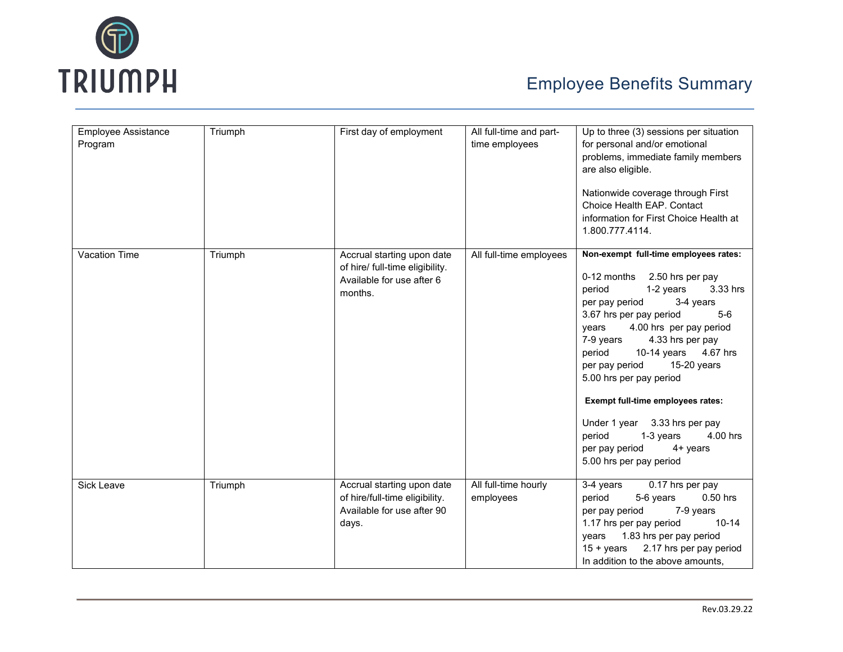

| <b>Employee Assistance</b><br>Program | Triumph | First day of employment                                                                               | All full-time and part-<br>time employees | Up to three (3) sessions per situation<br>for personal and/or emotional<br>problems, immediate family members<br>are also eligible.<br>Nationwide coverage through First<br>Choice Health EAP. Contact<br>information for First Choice Health at<br>1.800.777.4114.                                                                                                                                                                                                                                                |
|---------------------------------------|---------|-------------------------------------------------------------------------------------------------------|-------------------------------------------|--------------------------------------------------------------------------------------------------------------------------------------------------------------------------------------------------------------------------------------------------------------------------------------------------------------------------------------------------------------------------------------------------------------------------------------------------------------------------------------------------------------------|
| Vacation Time                         | Triumph | Accrual starting upon date<br>of hire/ full-time eligibility.<br>Available for use after 6<br>months. | All full-time employees                   | Non-exempt full-time employees rates:<br>0-12 months 2.50 hrs per pay<br>period<br>1-2 years<br>3.33 hrs<br>per pay period<br>3-4 years<br>3.67 hrs per pay period<br>$5-6$<br>4.00 hrs per pay period<br>years<br>7-9 years<br>4.33 hrs per pay<br>10-14 years 4.67 hrs<br>period<br>15-20 years<br>per pay period<br>5.00 hrs per pay period<br>Exempt full-time employees rates:<br>Under 1 year 3.33 hrs per pay<br>period<br>1-3 years<br>4.00 hrs<br>per pay period<br>$4+$ years<br>5.00 hrs per pay period |
| Sick Leave                            | Triumph | Accrual starting upon date<br>of hire/full-time eligibility.<br>Available for use after 90<br>days.   | All full-time hourly<br>employees         | $0.17$ hrs per pay<br>3-4 years<br>period<br>5-6 years<br>$0.50$ hrs<br>per pay period<br>7-9 years<br>1.17 hrs per pay period<br>$10 - 14$<br>1.83 hrs per pay period<br>years<br>2.17 hrs per pay period<br>$15 + \gamma$ ears<br>In addition to the above amounts.                                                                                                                                                                                                                                              |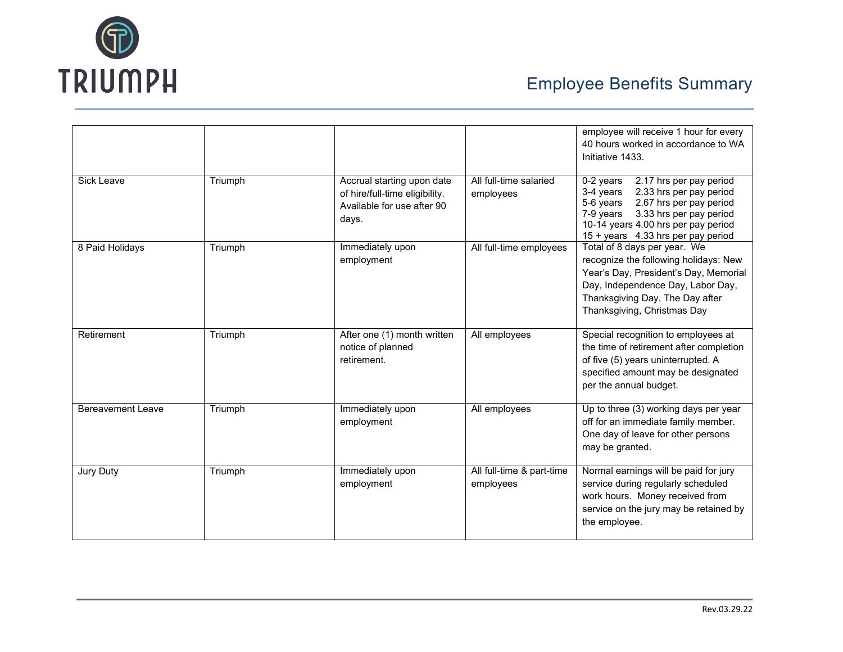

|                          |         |                                                                                                     |                                        | employee will receive 1 hour for every<br>40 hours worked in accordance to WA<br>Initiative 1433.                                                                                                                                           |
|--------------------------|---------|-----------------------------------------------------------------------------------------------------|----------------------------------------|---------------------------------------------------------------------------------------------------------------------------------------------------------------------------------------------------------------------------------------------|
| Sick Leave               | Triumph | Accrual starting upon date<br>of hire/full-time eligibility.<br>Available for use after 90<br>days. | All full-time salaried<br>employees    | 2.17 hrs per pay period<br>$0-2$ years<br>2.33 hrs per pay period<br>3-4 years<br>2.67 hrs per pay period<br>5-6 years<br>3.33 hrs per pay period<br>7-9 years<br>10-14 years 4.00 hrs per pay period<br>15 + years 4.33 hrs per pay period |
| 8 Paid Holidays          | Triumph | Immediately upon<br>employment                                                                      | All full-time employees                | Total of 8 days per year. We<br>recognize the following holidays: New<br>Year's Day, President's Day, Memorial<br>Day, Independence Day, Labor Day,<br>Thanksgiving Day, The Day after<br>Thanksgiving, Christmas Day                       |
| Retirement               | Triumph | After one (1) month written<br>notice of planned<br>retirement.                                     | All employees                          | Special recognition to employees at<br>the time of retirement after completion<br>of five (5) years uninterrupted. A<br>specified amount may be designated<br>per the annual budget.                                                        |
| <b>Bereavement Leave</b> | Triumph | Immediately upon<br>employment                                                                      | All employees                          | Up to three (3) working days per year<br>off for an immediate family member.<br>One day of leave for other persons<br>may be granted.                                                                                                       |
| Jury Duty                | Triumph | Immediately upon<br>employment                                                                      | All full-time & part-time<br>employees | Normal earnings will be paid for jury<br>service during regularly scheduled<br>work hours. Money received from<br>service on the jury may be retained by<br>the employee.                                                                   |